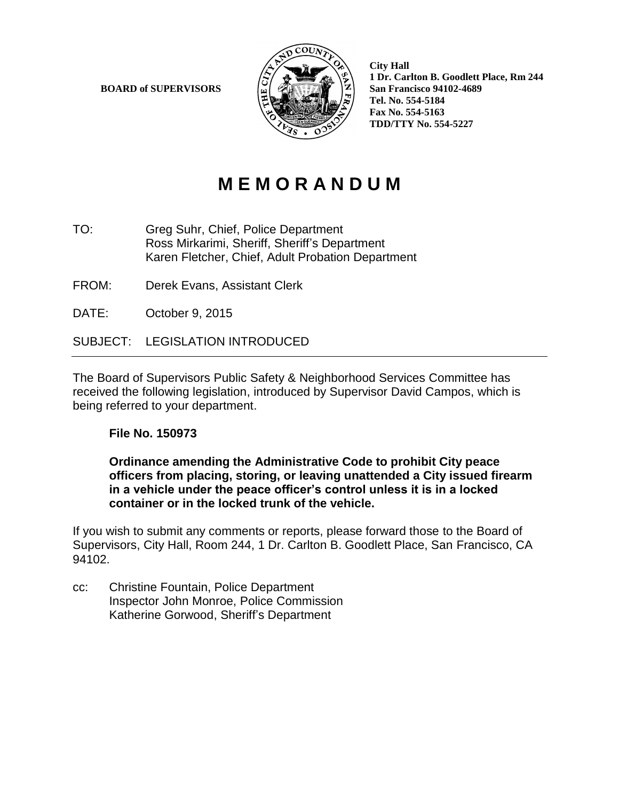**BOARD of SUPERVISORS**  $\begin{bmatrix} \omega \end{bmatrix}$   $\begin{bmatrix} \omega \end{bmatrix}$   $\begin{bmatrix} \omega \end{bmatrix}$   $\begin{bmatrix} \omega \end{bmatrix}$   $\begin{bmatrix} \omega \end{bmatrix}$  San Francisco 94102-4689



 **City Hall 1 Dr. Carlton B. Goodlett Place, Rm 244 Tel.No. 554 -5184 Fax No. 554-5163 TDD/TTY No. 554 -5227**

## **M E M O R A N D U M**

- TO: Greg Suhr, Chief, Police Department Ross Mirkarimi, Sheriff, Sheriff's Department Karen Fletcher, Chief, Adult Probation Department
- FROM: Derek Evans, Assistant Clerk
- DATE: October 9, 2015

SUBJECT: LEGISLATION INTRODUCED

The Board of Supervisors Public Safety & Neighborhood Services Committee has received the following legislation, introduced by Supervisor David Campos, which is being referred to your department.

## **File No. 150973**

**Ordinance amending the Administrative Code to prohibit City peace officers from placing, storing, or leaving unattended a City issued firearm in a vehicle under the peace officer's control unless it is in a locked container or in the locked trunk of the vehicle.**

If you wish to submit any comments or reports, please forward those to the Board of Supervisors, City Hall, Room 244, 1 Dr. Carlton B. Goodlett Place, San Francisco, CA 94102.

cc: Christine Fountain, Police Department Inspector John Monroe, Police Commission Katherine Gorwood, Sheriff's Department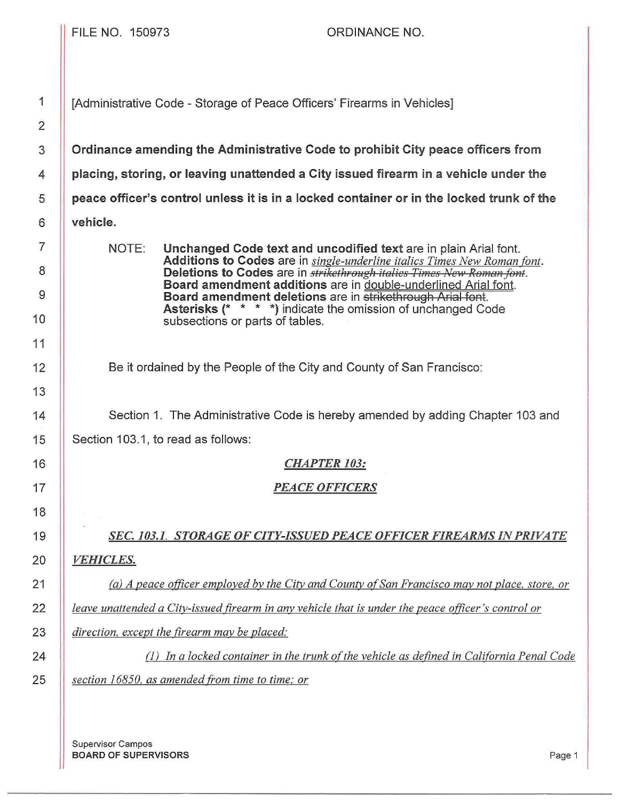FILE NO. 150973 ORDINANCE NO. 1 || [Administrative Code - Storage of Peace Officers' Firearms in Vehicles] **Ordinance amending the Administrative Code to prohibit City peace officers from placing, storing, or leaving unattended a City issued firearm in a vehicle under the peace officer's control unless it is in a locked container or in the locked trunk of the vehicle.**  NOTE: **Unchanged Code text and uncodified text** are in plain Arial font. **Additions to Codes** are in *single-underline italics Times New Roman font.*  **Deletions to Codes** are in *strikethrough italics Times New Roman font.* **Board amendment additions** are in double-underlined Arial font. **Board amendment deletions** are in strikethrough Arial font. **Asterisks** (\* \* \* \*) indicate the omission of unchanged Code subsections or parts of tables. Be it ordained by the People of the City and County of San Francisco: 14 Section 1. The Administrative Code is hereby amended by adding Chapter 103 and 15 | Section 103.1, to read as follows: *CHAPTER 103: PEACE OFFICERS SEC. 103.1. STORAGE OF CITY-ISSUED PEACE OFFICER FIREARMS IN PRIVATE VEHICLES. (a) A peace officer employed by the Citv and County of San Francisco may not place. store. or leave unattended a Citv-issued firearm in any vehicle that is under the peace otficer 's control or direction, except the firearm may be placed:*  (1) *In a locked container in the trunk of the vehicle as defined in California Penal Code section 16850. as amended from time to time; or* 

Supervisor Campos **BOARD OF SUPERVISORS** Page 1